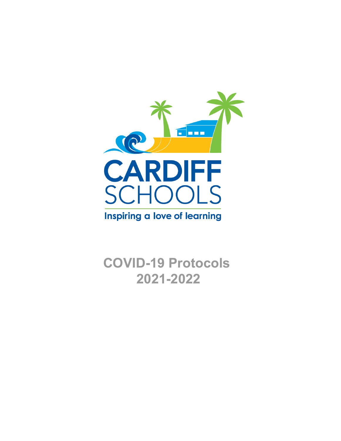

**COVID-19 Protocols 2021-2022**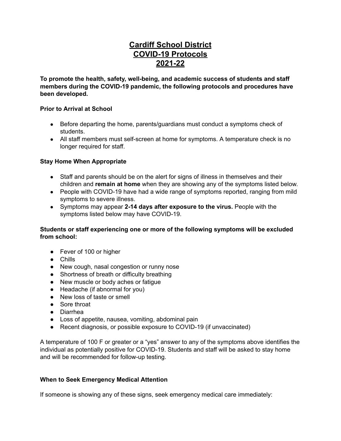# **Cardiff School District COVID-19 Protocols 2021-22**

**To promote the health, safety, well-being, and academic success of students and staff members during the COVID-19 pandemic, the following protocols and procedures have been developed.**

#### **Prior to Arrival at School**

- Before departing the home, parents/guardians must conduct a symptoms check of students.
- All staff members must self-screen at home for symptoms. A temperature check is no longer required for staff.

#### **Stay Home When Appropriate**

- Staff and parents should be on the alert for signs of illness in themselves and their children and **remain at home** when they are showing any of the symptoms listed below.
- People with COVID-19 have had a wide range of symptoms reported, ranging from mild symptoms to severe illness.
- Symptoms may appear **2-14 days after exposure to the virus.** People with the symptoms listed below may have COVID-19.

#### **Students or staff experiencing one or more of the following symptoms will be excluded from school:**

- Fever of 100 or higher
- Chills
- New cough, nasal congestion or runny nose
- Shortness of breath or difficulty breathing
- New muscle or body aches or fatigue
- Headache (if abnormal for you)
- New loss of taste or smell
- Sore throat
- Diarrhea
- Loss of appetite, nausea, vomiting, abdominal pain
- Recent diagnosis, or possible exposure to COVID-19 (if unvaccinated)

A temperature of 100 F or greater or a "yes" answer to any of the symptoms above identifies the individual as potentially positive for COVID-19. Students and staff will be asked to stay home and will be recommended for follow-up testing.

#### **When to Seek Emergency Medical Attention**

If someone is showing any of these signs, seek emergency medical care immediately: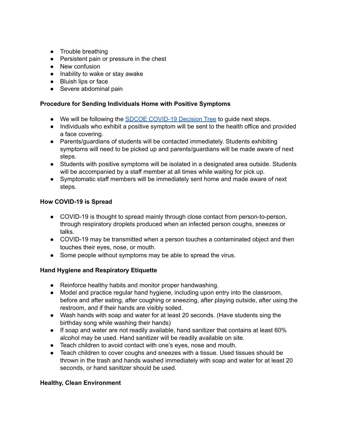- Trouble breathing
- Persistent pain or pressure in the chest
- New confusion
- Inability to wake or stay awake
- Bluish lips or face
- Severe abdominal pain

#### **Procedure for Sending Individuals Home with Positive Symptoms**

- We will be following the **SDCOE [COVID-19](https://covid-19.sdcoe.net/Portals/covid-19/Documents/Health%20Practices/COVID-19-Decision-Tree.pdf?updated=072721) Decision Tree** to guide next steps.
- Individuals who exhibit a positive symptom will be sent to the health office and provided a face covering.
- Parents/guardians of students will be contacted immediately. Students exhibiting symptoms will need to be picked up and parents/guardians will be made aware of next steps.
- Students with positive symptoms will be isolated in a designated area outside. Students will be accompanied by a staff member at all times while waiting for pick up.
- Symptomatic staff members will be immediately sent home and made aware of next steps.

#### **How COVID-19 is Spread**

- COVID-19 is thought to spread mainly through close contact from person-to-person, through respiratory droplets produced when an infected person coughs, sneezes or talks.
- COVID-19 may be transmitted when a person touches a contaminated object and then touches their eyes, nose, or mouth.
- Some people without symptoms may be able to spread the virus.

#### **Hand Hygiene and Respiratory Etiquette**

- Reinforce healthy habits and monitor proper handwashing.
- Model and practice regular hand hygiene, including upon entry into the classroom, before and after eating, after coughing or sneezing, after playing outside, after using the restroom, and if their hands are visibly soiled.
- Wash hands with soap and water for at least 20 seconds. (Have students sing the birthday song while washing their hands)
- $\bullet$  If soap and water are not readily available, hand sanitizer that contains at least 60% alcohol may be used. Hand sanitizer will be readily available on site.
- Teach children to avoid contact with one's eyes, nose and mouth.
- Teach children to cover coughs and sneezes with a tissue. Used tissues should be thrown in the trash and hands washed immediately with soap and water for at least 20 seconds, or hand sanitizer should be used.

#### **Healthy, Clean Environment**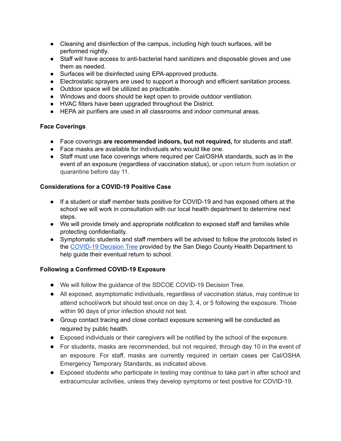- Cleaning and disinfection of the campus, including high touch surfaces, will be performed nightly.
- Staff will have access to anti-bacterial hand sanitizers and disposable gloves and use them as needed.
- Surfaces will be disinfected using EPA-approved products.
- Electrostatic sprayers are used to support a thorough and efficient sanitation process.
- Outdoor space will be utilized as practicable.
- Windows and doors should be kept open to provide outdoor ventilation.
- HVAC filters have been upgraded throughout the District.
- HEPA air purifiers are used in all classrooms and indoor communal areas.

# **Face Coverings**

- Face coverings **are recommended indoors, but not required,** for students and staff.
- Face masks are available for individuals who would like one.
- Staff must use face coverings where required per Cal/OSHA standards, such as in the event of an exposure (regardless of vaccination status), or upon return from isolation or quarantine before day 11.

# **Considerations for a COVID-19 Positive Case**

- If a student or staff member tests positive for COVID-19 and has exposed others at the school we will work in consultation with our local health department to determine next steps.
- We will provide timely and appropriate notification to exposed staff and families while protecting confidentiality.
- Symptomatic students and staff members will be advised to follow the protocols listed in the [COVID-19](https://covid-19.sdcoe.net/Portals/covid-19/Documents/Health%20Practices/COVID-19-Decision-Tree.pdf?updated=072721) Decision Tree provided by the San Diego County Health Department to help guide their eventual return to school.

# **Following a Confirmed COVID-19 Exposure**

- We will follow the guidance of the SDCOE COVID-19 Decision Tree.
- All exposed, asymptomatic individuals, regardless of vaccination status, may continue to attend school/work but should test once on day 3, 4, or 5 following the exposure. Those within 90 days of prior infection should not test.
- Group contact tracing and close contact exposure screening will be conducted as required by public health.
- Exposed individuals or their caregivers will be notified by the school of the exposure.
- For students, masks are recommended, but not required, through day 10 in the event of an exposure. For staff, masks are currently required in certain cases per Cal/OSHA Emergency Temporary Standards, as indicated above.
- Exposed students who participate in testing may continue to take part in after school and extracurricular activities, unless they develop symptoms or test positive for COVID-19.